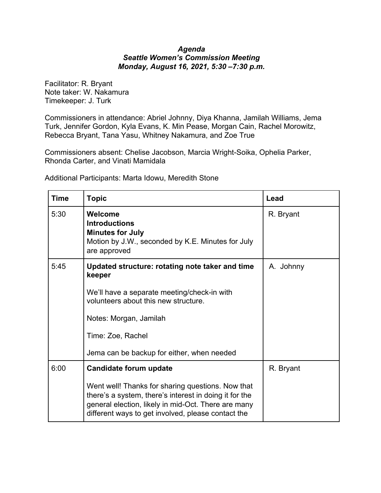## *Agenda Seattle Women's Commission Meeting Monday, August 16, 2021, 5:30 –7:30 p.m.*

Facilitator: R. Bryant Note taker: W. Nakamura Timekeeper: J. Turk

Commissioners in attendance: Abriel Johnny, Diya Khanna, Jamilah Williams, Jema Turk, Jennifer Gordon, Kyla Evans, K. Min Pease, Morgan Cain, Rachel Morowitz, Rebecca Bryant, Tana Yasu, Whitney Nakamura, and Zoe True

Commissioners absent: Chelise Jacobson, Marcia Wright-Soika, Ophelia Parker, Rhonda Carter, and Vinati Mamidala

| <b>Time</b> | <b>Topic</b>                                                                                                                                                                                                                                       | Lead      |
|-------------|----------------------------------------------------------------------------------------------------------------------------------------------------------------------------------------------------------------------------------------------------|-----------|
| 5:30        | Welcome<br><b>Introductions</b><br><b>Minutes for July</b><br>Motion by J.W., seconded by K.E. Minutes for July<br>are approved                                                                                                                    | R. Bryant |
| 5:45        | Updated structure: rotating note taker and time<br>keeper<br>We'll have a separate meeting/check-in with<br>volunteers about this new structure.<br>Notes: Morgan, Jamilah<br>Time: Zoe, Rachel<br>Jema can be backup for either, when needed      | A. Johnny |
| 6:00        | Candidate forum update<br>Went well! Thanks for sharing questions. Now that<br>there's a system, there's interest in doing it for the<br>general election, likely in mid-Oct. There are many<br>different ways to get involved, please contact the | R. Bryant |

Additional Participants: Marta Idowu, Meredith Stone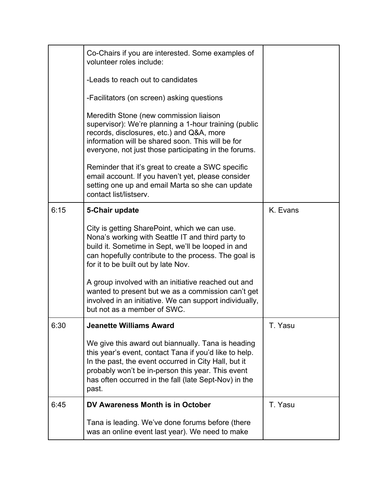|      | Co-Chairs if you are interested. Some examples of<br>volunteer roles include:<br>-Leads to reach out to candidates<br>-Facilitators (on screen) asking questions<br>Meredith Stone (new commission liaison<br>supervisor): We're planning a 1-hour training (public<br>records, disclosures, etc.) and Q&A, more<br>information will be shared soon. This will be for<br>everyone, not just those participating in the forums.<br>Reminder that it's great to create a SWC specific<br>email account. If you haven't yet, please consider<br>setting one up and email Marta so she can update<br>contact list/listserv. |          |
|------|-------------------------------------------------------------------------------------------------------------------------------------------------------------------------------------------------------------------------------------------------------------------------------------------------------------------------------------------------------------------------------------------------------------------------------------------------------------------------------------------------------------------------------------------------------------------------------------------------------------------------|----------|
| 6:15 | 5-Chair update<br>City is getting SharePoint, which we can use.<br>Nona's working with Seattle IT and third party to<br>build it. Sometime in Sept, we'll be looped in and<br>can hopefully contribute to the process. The goal is<br>for it to be built out by late Nov.<br>A group involved with an initiative reached out and<br>wanted to present but we as a commission can't get<br>involved in an initiative. We can support individually,<br>but not as a member of SWC.                                                                                                                                        | K. Evans |
| 6:30 | <b>Jeanette Williams Award</b><br>We give this award out biannually. Tana is heading<br>this year's event, contact Tana if you'd like to help.<br>In the past, the event occurred in City Hall, but it<br>probably won't be in-person this year. This event<br>has often occurred in the fall (late Sept-Nov) in the<br>past.                                                                                                                                                                                                                                                                                           | T. Yasu  |
| 6:45 | DV Awareness Month is in October<br>Tana is leading. We've done forums before (there<br>was an online event last year). We need to make                                                                                                                                                                                                                                                                                                                                                                                                                                                                                 | T. Yasu  |